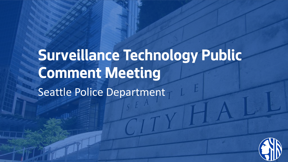# **Surveillance Technology Public Comment Meeting**  Seattle Police Department

 $\mathbb{E}[\mathbf{r}^{\mathsf{H}}]$  and  $\mathbb{E}[\mathbf{r}^{\mathsf{H}}]$ 

**5/24/2018 Seattle Information Technology Slide 1**

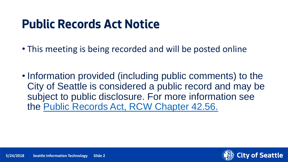### **Public Records Act Notice**

- This meeting is being recorded and will be posted online
- Information provided (including public comments) to the City of Seattle is considered a public record and may be subject to public disclosure. For more information see the [Public Records Act, RCW Chapter 42.56.](https://apps.leg.wa.gov/rcw/default.aspx?cite=42.56)

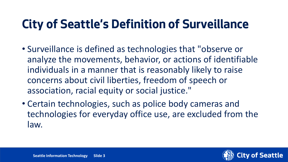### **City of Seattle's Definition of Surveillance**

- Surveillance is defined as technologies that "observe or analyze the movements, behavior, or actions of identifiable individuals in a manner that is reasonably likely to raise concerns about civil liberties, freedom of speech or association, racial equity or social justice."
- Certain technologies, such as police body cameras and technologies for everyday office use, are excluded from the law.

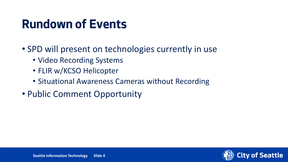### **Rundown of Events**

- SPD will present on technologies currently in use
	- Video Recording Systems
	- FLIR w/KCSO Helicopter
	- Situational Awareness Cameras without Recording
- Public Comment Opportunity

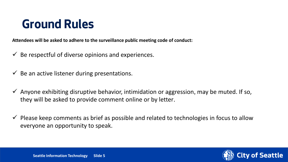### **Ground Rules**

**Attendees will be asked to adhere to the surveillance public meeting code of conduct:**

- $\checkmark$  Be respectful of diverse opinions and experiences.
- $\checkmark$  Be an active listener during presentations.
- $\checkmark$  Anyone exhibiting disruptive behavior, intimidation or aggression, may be muted. If so, they will be asked to provide comment online or by letter.
- $\checkmark$  Please keep comments as brief as possible and related to technologies in focus to allow everyone an opportunity to speak.

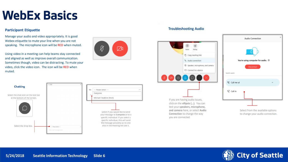### **WebEx Basics**

#### **Participant Etiquette**

Manage your audio and video appropriately. It is good Webex etiquette to mute your line when you are not speaking. The microphone icon will be RED when muted.

Using video in a meeting can help teams stay connected and aligned as well as improve overall communication. Sometimes though, video can be distracting. To mute your video, click the video icon. The icon will be RED when muted.





#### **Troubleshooting Audio**



test your speakers, microphone, and camera here, or select Audio Connection to change the way you are connected.

| Audio Connection                                              | × |
|---------------------------------------------------------------|---|
|                                                               |   |
| You're using computer for audio. $\, \oplus \,$<br>Disconnect |   |
| Switch audio                                                  |   |
| <sup>N</sup> S Call me at                                     |   |
| √ Call in                                                     |   |
|                                                               |   |
| Select from the available options                             |   |

to change your audio connection.

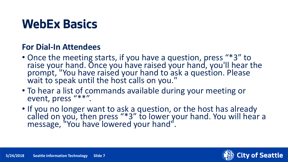### **WebEx Basics**

#### **For Dial-In Attendees**

- Once the meeting starts, if you have a question, press "\*3" to raise your hand. Once you have raised your hand, you'll hear the prompt, "You have raised your hand to ask a question. Please wait to speak until the host calls on you."
- To hear a list of commands available during your meeting or event, press "\*\*".
- If you no longer want to ask a question, or the host has already called on you, then press "\*3" to lower your hand. You will hear a message, "You have lowered your hand".

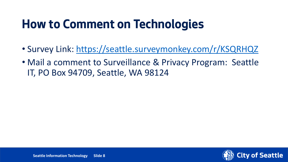### **How to Comment on Technologies**

- Survey Link: <https://seattle.surveymonkey.com/r/KSQRHQZ>
- Mail a comment to Surveillance & Privacy Program: Seattle IT, PO Box 94709, Seattle, WA 98124

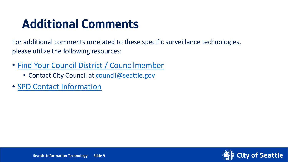### **Additional Comments**

For additional comments unrelated to these specific surveillance technologies, please utilize the following resources:

- [Find Your Council District / Councilmember](https://www.seattle.gov/council/meet-the-council/find-your-district-and-councilmembers)
	- Contact City Council at [council@seattle.gov](mailto:council@seattle.gov)
- [SPD Contact Information](http://www.seattle.gov/police/about-us/contact-us)

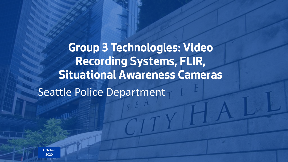**Group 3 Technologies: Video Recording Systems, FLIR, Situational Awareness Cameras** Seattle Police Department

Department Name Page Number **5/2020 Slide 10 Slide 10 Slide 10 Slide 10 Slide 10 Slide 10 Slide 10 Slide 10 Slide 10 Slide 10 Slide 10 Slide 10 Slide 10 Slide 10 Slide 10 Slide 10 Slide 10 Slide 10 Slide 10 Sli October** 2020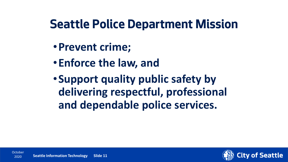### **Seattle Police Department Mission**

- •**Prevent crime;**
- •**Enforce the law, and**
- •**Support quality public safety by delivering respectful, professional and dependable police services.**

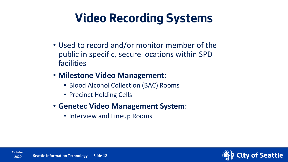### **Video Recording Systems**

- Used to record and/or monitor member of the public in specific, secure locations within SPD facilities
- **Milestone Video Management**:
	- Blood Alcohol Collection (BAC) Rooms
	- Precinct Holding Cells
- **Genetec Video Management System**:
	- Interview and Lineup Rooms

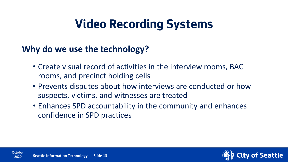### **Video Recording Systems**

### **Why do we use the technology?**

- Create visual record of activities in the interview rooms, BAC rooms, and precinct holding cells
- Prevents disputes about how interviews are conducted or how suspects, victims, and witnesses are treated
- Enhances SPD accountability in the community and enhances confidence in SPD practices

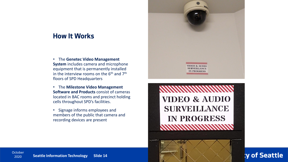#### **How It Works**

- The **Genetec Video Management System** includes camera and microphone equipment that is permanently installed in the interview rooms on the  $6<sup>th</sup>$  and  $7<sup>th</sup>$ floors of SPD Headquarters
- The **Milestone Video Management Software and Products** consist of cameras located in BAC rooms and precinct holding cells throughout SPD's facilities.
- Signage informs employees and members of the public that camera and recording devices are present





**y of Seattle**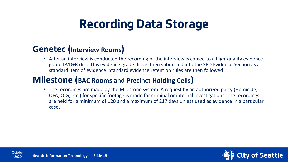### **Recording Data Storage**

#### **Genetec (Interview Rooms)**

• After an interview is conducted the recording of the interview is copied to a high-quality evidence grade DVD+R disc. This evidence-grade disc is then submitted into the SPD Evidence Section as a standard item of evidence. Standard evidence retention rules are then followed

#### **Milestone (BAC Rooms and Precinct Holding Cells)**

• The recordings are made by the Milestone system. A request by an authorized party (Homicide, OPA, OIG, etc.) for specific footage is made for criminal or internal investigations. The recordings are held for a minimum of 120 and a maximum of 217 days unless used as evidence in a particular case.

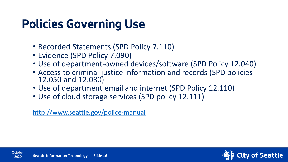### **Policies Governing Use**

- Recorded Statements (SPD Policy 7.110)
- Evidence (SPD Policy 7.090)
- Use of department-owned devices/software (SPD Policy 12.040)
- Access to criminal justice information and records (SPD policies 12.050 and 12.080)
- Use of department email and internet (SPD Policy 12.110)
- Use of cloud storage services (SPD policy 12.111)

<http://www.seattle.gov/police-manual>

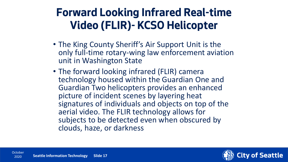### **Forward Looking Infrared Real-time Video (FLIR)- KCSO Helicopter**

- The King County Sheriff's Air Support Unit is the only full-time rotary-wing law enforcement aviation unit in Washington State
- The forward looking infrared (FLIR) camera technology housed within the Guardian One and Guardian Two helicopters provides an enhanced picture of incident scenes by layering heat signatures of individuals and objects on top of the aerial video. The FLIR technology allows for subjects to be detected even when obscured by clouds, haze, or darkness

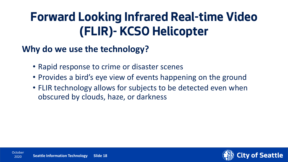### **Forward Looking Infrared Real-time Video (FLIR)- KCSO Helicopter**

### **Why do we use the technology?**

- Rapid response to crime or disaster scenes
- Provides a bird's eye view of events happening on the ground
- FLIR technology allows for subjects to be detected even when obscured by clouds, haze, or darkness

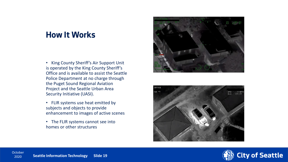#### **How It Works**

- King County Sheriff's Air Support Unit is operated by the King County Sheriff's Office and is available to assist the Seattle Police Department at no charge through the Puget Sound Regional Aviation Project and the Seattle Urban Area Security Initiative (UASI).
- FLIR systems use heat emitted by subjects and objects to provide enhancement to images of active scenes
- The FLIR systems cannot see into homes or other structures





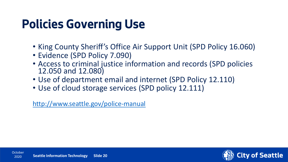### **Policies Governing Use**

- King County Sheriff's Office Air Support Unit (SPD Policy 16.060)
- Evidence (SPD Policy 7.090)
- Access to criminal justice information and records (SPD policies 12.050 and 12.080)
- Use of department email and internet (SPD Policy 12.110)
- Use of cloud storage services (SPD policy 12.111)

<http://www.seattle.gov/police-manual>

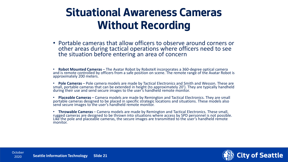### **Situational Awareness Cameras Without Recording**

• Portable cameras that allow officers to observe around corners or other areas during tactical operations where officers need to see the situation before entering an area of concern

• **Robot Mounted Cameras** – The Avatar Robot by RoboteX incorporates a 360-degree optical camera and is remote controlled by officers from a safe position on scene. The remote range of the Avatar Robot is approximately 200 meters.

• **Pole Cameras** – Pole camera models are made by Tactical Electronics and Smith and Wesson. These are small, portable cameras that can be extended in height (to approximately 20'). They are typically handheld during their use and send secure images to the user's handheld remote monitor.

• **Placeable Cameras** – Camera models are made by Remington and Tactical Electronics. They are small portable cameras designed to be placed in specific strategic locations and situations. These models also send secure images to the user's handheld remote monitor.

• **Throwable Cameras** – Camera models are made by Remington and Tactical Electronics. These small, rugged cameras are designed to be thrown into situations where access by SPD personnel is not possible. Like the pole and placeable cameras, the secure images are transmitted to the user's handheld remote monitor.

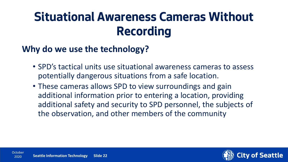### **Situational Awareness Cameras Without Recording**

### **Why do we use the technology?**

- SPD's tactical units use situational awareness cameras to assess potentially dangerous situations from a safe location.
- These cameras allows SPD to view surroundings and gain additional information prior to entering a location, providing additional safety and security to SPD personnel, the subjects of the observation, and other members of the community

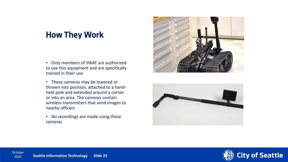#### **How They Work**

- Only members of SWAT are authorized to use this equipment and are specifically trained in their use
- These cameras may be lowered or thrown into position, attached to a handheld pole and extended around a corner or into an area. The cameras contain wireless transmitters that send images to nearby officers
- No recordings are made using these cameras





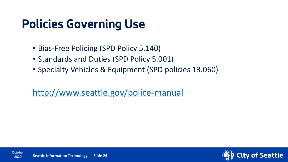### **Policies Governing Use**

- Bias-Free Policing (SPD Policy 5.140)
- Standards and Duties (SPD Policy 5.001)
- Specialty Vehicles & Equipment (SPD policies 13.060)

<http://www.seattle.gov/police-manual>

2020

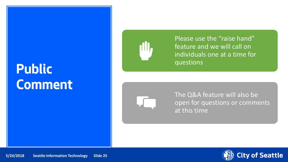## **Public Comment**



Please use the "raise hand" feature and we will call on individuals one at a time for questions



The Q&A feature will also be open for questions or comments at this time

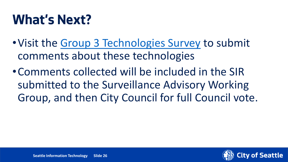## **What's Next?**

- •Visit the [Group 3 Technologies Survey](https://seattle.surveymonkey.com/r/KSQRHQZ) to submit comments about these technologies
- •Comments collected will be included in the SIR submitted to the Surveillance Advisory Working Group, and then City Council for full Council vote.